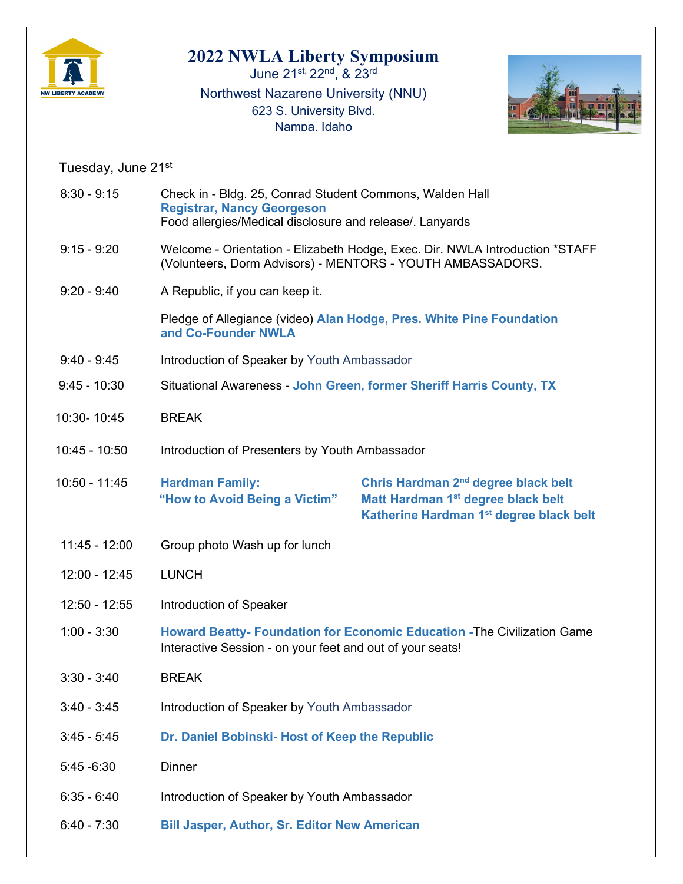

## **2022 NWLA Liberty Symposium**

June 21st, 22nd, & 23rd Northwest Nazarene University (NNU) 623 S. University Blvd. Nampa, Idaho



Tuesday, June 21st

| $8:30 - 9:15$   | Check in - Bldg. 25, Conrad Student Commons, Walden Hall<br><b>Registrar, Nancy Georgeson</b><br>Food allergies/Medical disclosure and release/. Lanyards |                                                                                                                                                          |
|-----------------|-----------------------------------------------------------------------------------------------------------------------------------------------------------|----------------------------------------------------------------------------------------------------------------------------------------------------------|
| $9:15 - 9:20$   | Welcome - Orientation - Elizabeth Hodge, Exec. Dir. NWLA Introduction *STAFF<br>(Volunteers, Dorm Advisors) - MENTORS - YOUTH AMBASSADORS.                |                                                                                                                                                          |
| $9:20 - 9:40$   | A Republic, if you can keep it.                                                                                                                           |                                                                                                                                                          |
|                 | Pledge of Allegiance (video) Alan Hodge, Pres. White Pine Foundation<br>and Co-Founder NWLA                                                               |                                                                                                                                                          |
| $9:40 - 9:45$   | Introduction of Speaker by Youth Ambassador                                                                                                               |                                                                                                                                                          |
| $9:45 - 10:30$  | Situational Awareness - John Green, former Sheriff Harris County, TX                                                                                      |                                                                                                                                                          |
| 10:30-10:45     | <b>BREAK</b>                                                                                                                                              |                                                                                                                                                          |
| $10:45 - 10:50$ | Introduction of Presenters by Youth Ambassador                                                                                                            |                                                                                                                                                          |
| $10:50 - 11:45$ | <b>Hardman Family:</b><br>"How to Avoid Being a Victim"                                                                                                   | Chris Hardman 2 <sup>nd</sup> degree black belt<br>Matt Hardman 1 <sup>st</sup> degree black belt<br>Katherine Hardman 1 <sup>st</sup> degree black belt |
| $11:45 - 12:00$ | Group photo Wash up for lunch                                                                                                                             |                                                                                                                                                          |
| $12:00 - 12:45$ | <b>LUNCH</b>                                                                                                                                              |                                                                                                                                                          |
| 12:50 - 12:55   | Introduction of Speaker                                                                                                                                   |                                                                                                                                                          |
| $1:00 - 3:30$   | Howard Beatty- Foundation for Economic Education - The Civilization Game<br>Interactive Session - on your feet and out of your seats!                     |                                                                                                                                                          |
| $3:30 - 3:40$   | <b>BREAK</b>                                                                                                                                              |                                                                                                                                                          |
| $3:40 - 3:45$   | Introduction of Speaker by Youth Ambassador                                                                                                               |                                                                                                                                                          |
| $3:45 - 5:45$   | Dr. Daniel Bobinski- Host of Keep the Republic                                                                                                            |                                                                                                                                                          |
| $5:45 - 6:30$   | <b>Dinner</b>                                                                                                                                             |                                                                                                                                                          |
| $6:35 - 6:40$   | Introduction of Speaker by Youth Ambassador                                                                                                               |                                                                                                                                                          |
| $6:40 - 7:30$   | <b>Bill Jasper, Author, Sr. Editor New American</b>                                                                                                       |                                                                                                                                                          |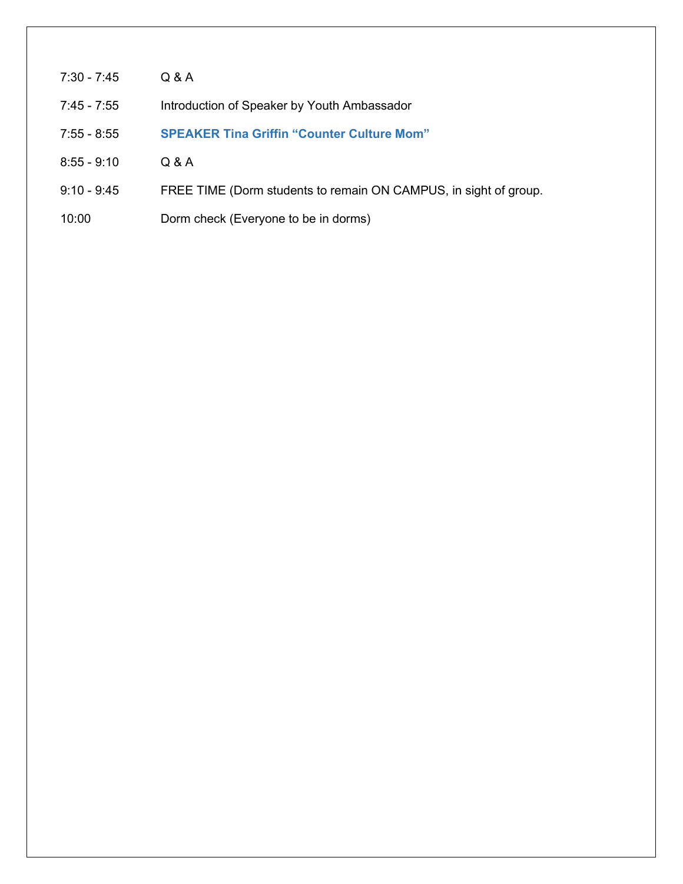- 7:30 7:45 Q & A 7:45 - 7:55 Introduction of Speaker by Youth Ambassador 7:55 - 8:55 **SPEAKER Tina Griffin "Counter Culture Mom"** 8:55 - 9:10 Q & A
- 9:10 9:45 FREE TIME (Dorm students to remain ON CAMPUS, in sight of group.
- 10:00 Dorm check (Everyone to be in dorms)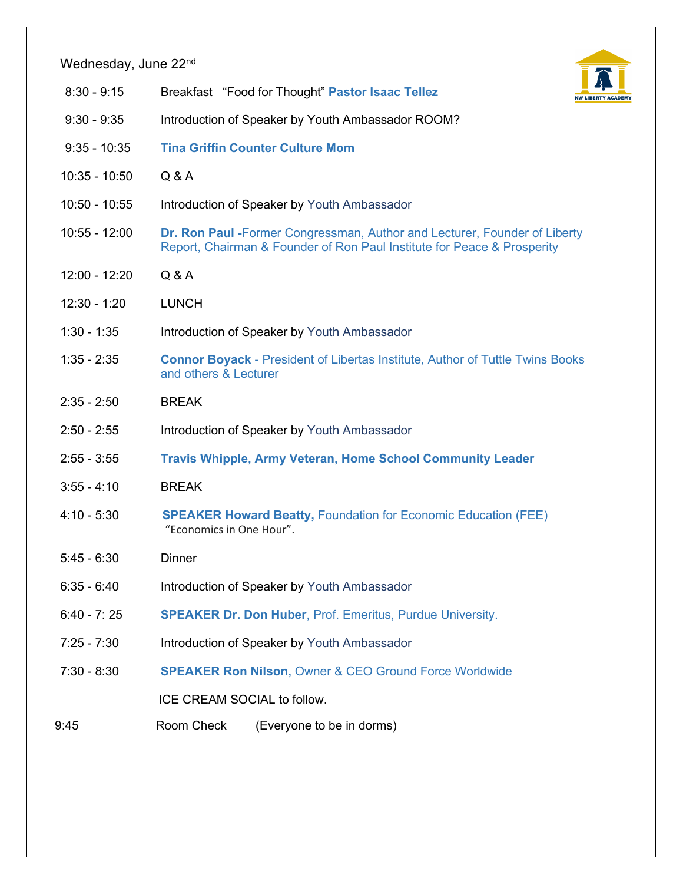## Wednesday, June 22<sup>nd</sup>



- 8:30 9:15 Breakfast "Food for Thought" **Pastor Isaac Tellez**
- 9:30 9:35 Introduction of Speaker by Youth Ambassador ROOM?
- 9:35 10:35 **Tina Griffin Counter Culture Mom**
- 10:35 10:50 Q & A
- 10:50 10:55 Introduction of Speaker by Youth Ambassador
- 10:55 12:00 **Dr. Ron Paul -**Former Congressman, Author and Lecturer, Founder of Liberty Report, Chairman & Founder of Ron Paul Institute for Peace & Prosperity
- 12:00 12:20 Q & A
- 12:30 1:20 LUNCH
- 1:30 1:35 Introduction of Speaker by Youth Ambassador
- 1:35 2:35 **Connor Boyack** President of Libertas Institute, Author of Tuttle Twins Books and others & Lecturer
- 2:35 2:50 BREAK
- 2:50 2:55 Introduction of Speaker by Youth Ambassador
- 2:55 3:55 **Travis Whipple, Army Veteran, Home School Community Leader**
- 3:55 4:10 BREAK
- 4:10 5:30 **SPEAKER Howard Beatty,** Foundation for Economic Education (FEE) "Economics in One Hour".
- 5:45 6:30 Dinner
- 6:35 6:40 Introduction of Speaker by Youth Ambassador
- 6:40 7: 25 **SPEAKER Dr. Don Huber**, Prof. Emeritus, Purdue University.
- 7:25 7:30 Introduction of Speaker by Youth Ambassador
- 7:30 8:30 **SPEAKER Ron Nilson,** Owner & CEO Ground Force Worldwide

ICE CREAM SOCIAL to follow.

9:45 Room Check (Everyone to be in dorms)